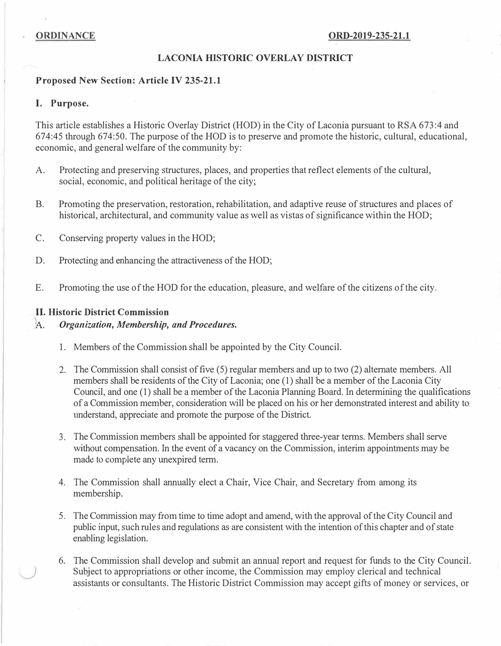#### LACONIA HISTORIC OVERLAY DISTRICT

#### Proposed New Section: Article IV 235-21.1

#### I. Purpose.

This article establishes a Historic Overlay District (HOD) in the City of Laconia pursuant to RSA 673:4 and 674:45 through 674:50. The purpose of the HOD is to preserve and promote the historic, cultural, educational, economic, and general welfare of the community by:

- A. Protecting and preserving structures, places, and properties that reflect elements of the cultural, social, economic, and political heritage of the city;
- B. Promoting the preservation, restoration, rehabilitation, and adaptive reuse of structures and places of historical, architectural, and community value as well as vistas of significance within the HOD;
- C. Conserving property values in the HOD;
- D. Protecting and enhancing the attractiveness of the HOD;
- E. Promoting the use of the HOD for the education, pleasure, and welfare of the citizens of the city.

#### II. Historic District Commission

#### A. Organization, Membership, and Procedures.

- 1. Members of the Commission shall be appointed by the City Council.
- 2. The Commission shall consist of five (5) regular members and up to two (2) alternate members. All members shall be residents of the City of Laconia; one (1) shall be a member of the Laconia City Council, and one (1) shall be a member of the Laconia Planning Board. In determining the qualifications of a Commission member, consideration will be placed on his or her demonstrated interest and ability to understand, appreciate and promote the purpose of the District.
- 3. The Commission members shall be appointed for staggered three-year terms. Members shall serve without compensation. In the event of a vacancy on the Commission, interim appointments may be made to complete any unexpired term.
- 4. The Commission shall annually elect a Chair, Vice Chair, and Secretary from among its membership.
- 5. The Commission may from time to time adopt and amend, with the approval of the City Council and public input, such rules and regulations as are consistent with the intention of this chapter and of state enabling legislation.
- 6. The Commission shall develop and submit an annual report and request for funds to the City Council. ) Subject to appropriations or other income, the Commission may employ clerical and technical assistants or consultants. The Historic District Commission may accept gifts of money or services, or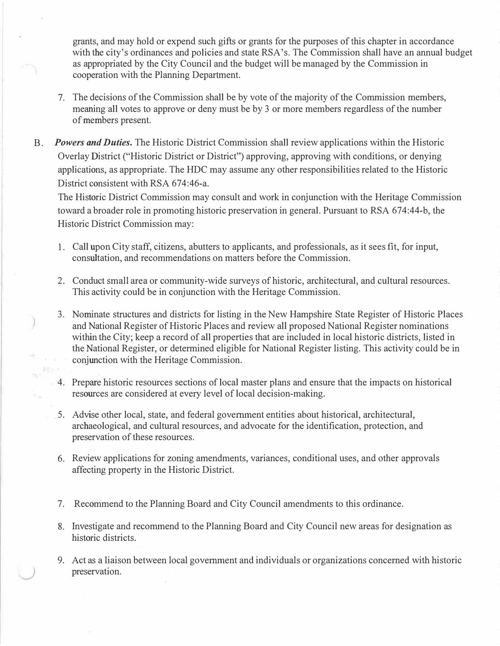grants, and may hold or expend such gifts or grants for the purposes of this chapter in accordance with the city's ordinances and policies and state RSA's. The Commission shall have an annual budget as appropriated by the City Council and the budget will be managed by the Commission in cooperation with the Planning Department.

- 7. The decisions of the Commission shall be by vote of the majority of the Commission members, meaning all votes to approve or deny must be by 3 or more members regardless of the number of members present.
- B. Powers and Duties. The Historic District Commission shall review applications within the Historic Overlay District ("Historic District or District") approving, approving with conditions, or denying applications, as appropriate. The HDC may assume any other responsibilities related to the Historic District consistent with RSA 674:46-a.

The Historic District Commission may consult and work in conjunction with the Heritage Commission toward a broader role in promoting historic preservation in general. Pursuant to RSA 674:44-b, the Historic District Commission may:

- 1. Call upon City staff, citizens, abutters to applicants, and professionals, as it sees fit, for input, consultation, and recommendations on matters before the Commission.
- 2. Conduct small area or community-wide surveys of historic, architectural, and cultural resources. This activity could be in conjunction with the Heritage Commission.
- 3. Nominate structures and districts for listing in the New Hampshire State Register of Historic Places and National Register of Historic Places and review all proposed National Register nominations within the City; keep a record of all properties that are included in local historic districts, listed in the National Register, or determined eligible for National Register listing. This activity could be in conjunction with the Heritage Commission.
- 4. Prepare historic resources sections of local master plans and ensure that the impacts on historical resources are considered at every level of local decision-making.
- 5. Advise other local, state, and federal government entities about historical, architectural, archaeological, and cultural resources, and advocate for the identification, protection, and preservation of these resources.
- 6. Review applications for zoning amendments, variances, conditional uses, and other approvals affecting property in the Historic District.
- 7. Recommend to the Planning Board and City Council amendments to this ordinance.
- 8. Investigate and recommend to the Planning Board and City Council new areas for designation as historic districts.
- 9. Act as a liaison between local government and individuals or organizations concerned with historic preservation.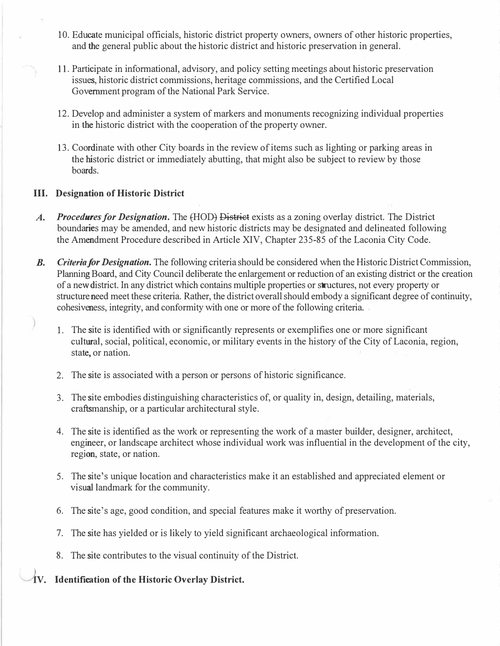- 10. Educate municipal officials, historic district property owners, owners of other historic properties, and the general public about the historic district and historic preservation in general.
- 11. Participate in informational, advisory, and policy setting meetings about historic preservation issues, historic district commissions, heritage commissions, and the Certified Local Government program of the National Park Service.
- 12. Develop and administer a system of markers and monuments recognizing individual properties in the historic district with the cooperation of the property owner.
- 13. Coordinate with other City boards in the review of items such as lighting or parking areas in the historic district or immediately abutting, that might also be subject to review by those boards.

#### III. Designation of Historic District

- A. Procedures for Designation. The (HOD) District exists as a zoning overlay district. The District boundaries may be amended, and new historic districts may be designated and delineated following the Amendment Procedure described in Article XIV, Chapter 235-85 of the Laconia City Code.
- **B.** Criteria for Designation. The following criteria should be considered when the Historic District Commission, Planning Board, and City Council deliberate the enlargement or reduction of an existing district or the creation of a new district. In any district which contains multiple properties or structures, not every property or structure need meet these criteria. Rather, the district overall should embody a significant degree of continuity, cohesiveness, integrity, and conformity with one or more of the following criteria.
	- 1. The site is identified with or significantly represents or exemplifies one or more significant cultural, social, political, economic, or military events in the history of the City of Laconia, region, state, or nation.
	- 2. The site is associated with a person or persons of historic significance.
	- 3. The site embodies distinguishing characteristics of, or quality in, design, detailing, materials, craftsmanship, or a particular architectural style.
	- 4. The site is identified as the work or representing the work of a master builder, designer, architect, engineer, or landscape architect whose individual work was influential in the development of the city, region, state, or nation.
	- 5. The site's unique location and characteristics make it an established and appreciated element or visual landmark for the community.
	- 6. The site's age, good condition, and special features make it worthy of preservation.
	- 7. The site has yielded or is likely to yield significant archaeological information.
	- 8. The site contributes to the visual continuity of the District.

# 1v. Identification of the Historic Overlay District.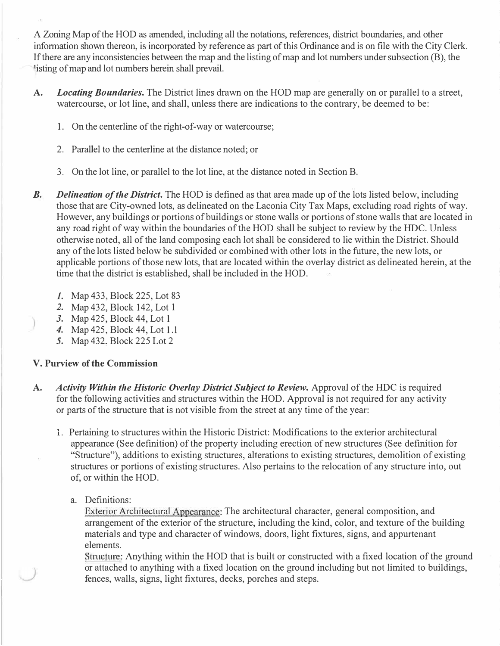A Zoning Map of the HOD as amended, including all the notations, references, district boundaries, and other information shown thereon, is incorporated by reference as part of this Ordinance and is on file with the City Clerk. If there are any inconsistencies between the map and the listing of map and lot numbers under subsection (B), the listing of map and lot numbers herein shall prevail.

- A. Locating Boundaries. The District lines drawn on the HOD map are generally on or parallel to a street, watercourse, or lot line, and shall, unless there are indications to the contrary, be deemed to be:
	- 1. On the centerline of the right-of-way or watercourse;
	- 2. Parallel to the centerline at the distance noted; or
	- 3. On the lot line, or parallel to the lot line, at the distance noted in Section B.
- **B.** Delineation of the District. The HOD is defined as that area made up of the lots listed below, including those that are City-owned lots, as delineated on the Laconia City Tax Maps, excluding road rights of way. However, any buildings or portions of buildings or stone walls or portions of stone walls that are located in any road right of way within the boundaries of the HOD shall be subject to review by the HDC. Unless otherwise noted, all of the land composing each lot shall be considered to lie within the District. Should any of the lots listed below be subdivided or combined with other lots in the future, the new lots, or applicable portions of those new lots, that are located within the overlay district as delineated herein, at the time that the district is established, shall be included in the HOD.
	- 1. Map 433, Block 225, Lot 83
	- 2. Map 432, Block 142, Lot 1
	- 3. Map 425, Block 44, Lot 1
	- 4. Map 425, Block 44, Lot 1.1
	- 5. Map 432, Block 225 Lot 2

## V. Purview of the Commission

- A. Activity Within the Historic Overlay District Subject to Review. Approval of the HDC is required for the following activities and structures within the HOD. Approval is not required for any activity or parts of the structure that is not visible from the street at any time of the year:
	- 1. Pertaining to structures within the Historic District: Modifications to the exterior architectural appearance (See definition) of the property including erection of new structures (See definition for "Structure"), additions to existing structures, alterations to existing structures, demolition of existing structures or portions of existing structures. Also pertains to the relocation of any structure into, out of, or within the HOD.
		- a. Definitions:

Exterior Architectural Appearance: The architectural character, general composition, and arrangement of the exterior of the structure, including the kind, color, and texture of the building materials and type and character of windows, doors, light fixtures, signs, and appurtenant elements.

Structure: Anything within the HOD that is built or constructed with a fixed location of the ground or attached to anything with a fixed location on the ground including but not limited to buildings, fences, walls, signs, light fixtures, decks, porches and steps.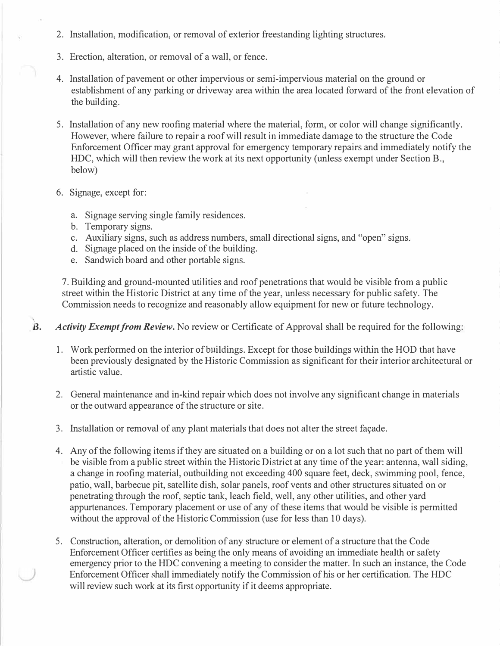- 2. Installation, modification, or removal of exterior freestanding lighting structures.
- 3. Erection, alteration, or removal of a wall, or fence.
- 4. Installation of pavement or other impervious or semi-impervious material on the ground or establishment of any parking or driveway area within the area located forward of the front elevation of the building.
- 5. Installation of any new roofing material where the material, form, or color will change significantly. However, where failure to repair a roof will result in immediate damage to the structure the Code Enforcement Officer may grant approval for emergency temporary repairs and immediately notify the HDC, which will then review the work at its next opportunity (unless exempt under Section B., below)
- 6. Signage, except for:
	- a. Signage serving single family residences.
	- b. Temporary signs.
	- c. Auxiliary signs, such as address numbers, small directional signs, and "open" signs.
	- d. Signage placed on the inside of the building.
	- e. Sandwich board and other portable signs.

7. Building and ground-mounted utilities and roof penetrations that would be visible from a public street within the Historic District at any time of the year, unless necessary for public safety. The Commission needs to recognize and reasonably allow equipment for new or future technology.

\  $\mathbf{B}$ . Activity Exempt from Review. No review or Certificate of Approval shall be required for the following:

- 1. Work performed on the interior of buildings. Except for those buildings within the HOD that have been previously designated by the Historic Commission as significant for their interior architectural or artistic value.
- 2. General maintenance and in-kind repair which does not involve any significant change in materials or the outward appearance of the structure or site.
- 3. Installation or removal of any plant materials that does not alter the street facade.
- 4. Any of the following items if they are situated on a building or on a lot such that no part of them will be visible from a public street within the Historic District at any time of the year: antenna, wall siding, a change in roofing material, outbuilding not exceeding 400 square feet, deck, swimming pool, fence, patio, wall, barbecue pit, satellite dish, solar panels, roof vents and other structures situated on or penetrating through the roof, septic tank, leach field, well, any other utilities, and other yard appurtenances. Temporary placement or use of any of these items that would be visible is permitted without the approval of the Historic Commission (use for less than 10 days).
- 5. Construction, alteration, or demolition of any structure or element of a structure that the Code Enforcement Officer certifies as being the only means of avoiding an immediate health or safety emergency prior to the HDC convening a meeting to consider the matter. In such an instance, the Code Enforcement Officer shall immediately notify the Commission of his or her certification. The HDC will review such work at its first opportunity if it deems appropriate.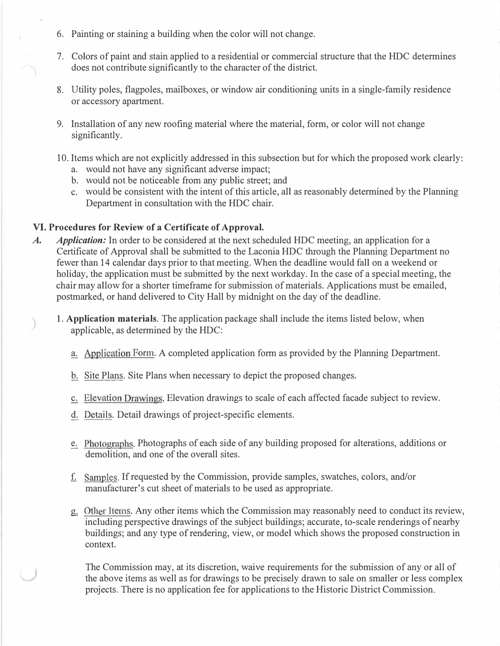- 6. Painting or staining a building when the color will not change.
- 7. Colors of paint and stain applied to a residential or commercial structure that the HDC determines does not contribute significantly to the character of the district.
- 8. Utility poles, flagpoles, mailboxes, or window air conditioning units in a single-family residence or accessory apartment.
- 9. Installation of any new roofing material where the material, form, or color will not change significantly.
- 10. Items which are not explicitly addressed in this subsection but for which the proposed work clearly:
	- a. would not have any significant adverse impact;
	- b. would not be noticeable from any public street; and
	- c. would be consistent with the intent of this article, all as reasonably determined by the Planning Department in consultation with the HDC chair.

### VI. Procedures for Review of a Certificate of Approval.

- A. Application: In order to be considered at the next scheduled HDC meeting, an application for a Certificate of Approval shall be submitted to the Laconia HDC through the Planning Department no fewer than 14 calendar days prior to that meeting. When the deadline would fall on a weekend or holiday, the application must be submitted by the next workday. In the case of a special meeting, the chair may allow for a shorter timeframe for submission of materials. Applications must be emailed, postmarked, or hand delivered to City Hall by midnight on the day of the deadline.
	- 1. Application materials. The application package shall include the items listed below, when applicable, as determined by the HDC:
		- a. Application Form. A completed application form as provided by the Planning Department.
		- b. Site Plans. Site Plans when necessary to depict the proposed changes.
		- c. Elevation Drawings. Elevation drawings to scale of each affected facade subject to review.
		- d. Details. Detail drawings of project-specific elements.
		- e. Photographs. Photographs of each side of any building proposed for alterations, additions or demolition, and one of the overall sites.
		- f. Samples. If requested by the Commission, provide samples, swatches, colors, and/or manufacturer's cut sheet of materials to be used as appropriate.
		- g. Other Items. Any other items which the Commission may reasonably need to conduct its review, including perspective drawings of the subject buildings; accurate, to-scale renderings of nearby buildings; and any type of rendering, view, or model which shows the proposed construction in context.

The Commission may, at its discretion, waive requirements for the submission of any or all of the above items as well as for drawings to be precisely drawn to sale on smaller or less complex projects. There is no application fee for applications to the Historic District Commission.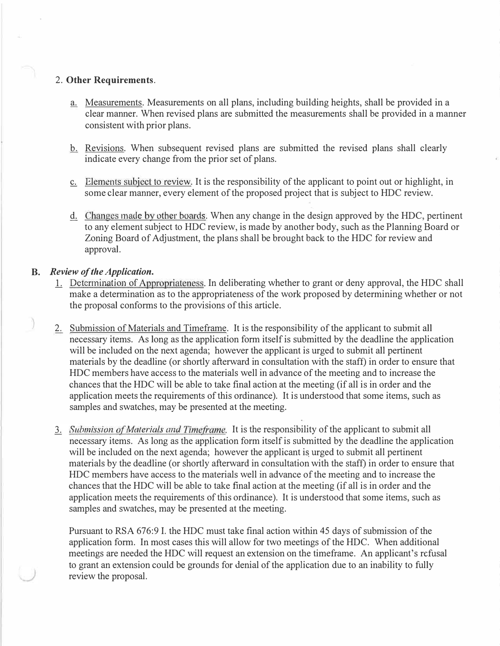#### 2. Other Requirements.

- a. Measurements. Measurements on all plans, including building heights, shall be provided in a clear manner. When revised plans are submitted the measurements shall be provided in a manner consistent with prior plans.
- b. Revisions. When subsequent revised plans are submitted the revised plans shall clearly indicate every change from the prior set of plans.
- c. Elements subject to review. It is the responsibility of the applicant to point out or highlight, in some clear manner, every element of the proposed project that is subject to HDC review.
- d. Changes made by other boards. When any change in the design approved by the HDC, pertinent to any element subject to HDC review, is made by another body, such as the Planning Board or Zoning Board of Adjustment, the plans shall be brought back to the HDC for review and approval.

#### B. Review of the Application.

\_)

- L. Determination of Appropriateness. In deliberating whether to grant or deny approval, the HDC shall make a determination as to the appropriateness of the work proposed by determining whether or not the proposal conforms to the provisions of this article.
- 2. Submission of Materials and Timeframe. It is the responsibility of the applicant to submit all necessary items. As long as the application form itself is submitted by the deadline the application will be included on the next agenda; however the applicant is urged to submit all pertinent materials by the deadline (or shortly afterward in consultation with the staff) in order to ensure that HDC members have access to the materials well in advance of the meeting and to increase the chances that the HDC will be able to take final action at the meeting (if all is in order and the application meets the requirements of this ordinance). It is understood that some items, such as samples and swatches, may be presented at the meeting.
- 3. Submission of Materials and Timeframe. It is the responsibility of the applicant to submit all necessary items. As long as the application form itself is submitted by the deadline the application will be included on the next agenda; however the applicant is urged to submit all pertinent materials by the deadline (or shortly afterward in consultation with the staff) in order to ensure that HDC members have access to the materials well in advance of the meeting and to increase the chances that the HDC will be able to take final action at the meeting (if all is in order and the application meets the requirements of this ordinance). It is understood that some items, such as samples and swatches, may be presented at the meeting.

Pursuant to RSA 676:9 I. the HDC must take final action within 45 days of submission of the application form. In most cases this will allow for two meetings of the HDC. When additional meetings are needed the HDC will request an extension on the timeframe. An applicant's refusal to grant an extension could be grounds for denial of the application due to an inability to fully review the proposal.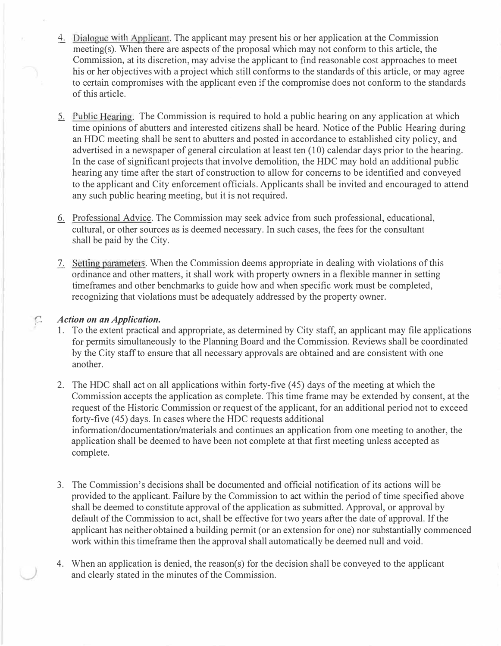- 4. Dialogue with Applicant. The applicant may present his or her application at the Commission meeting(s). When there are aspects of the proposal which may not conform to this article, the Commission, at its discretion, may advise the applicant to find reasonable cost approaches to meet his or her objectives with a project which still conforms to the standards of this article, or may agree to certain compromises with the applicant even if the compromise does not conform to the standards of this article.
- 5. Public Hearing. The Commission is required to hold a public hearing on any application at which time opinions of abutters and interested citizens shall be heard. Notice of the Public Hearing during an HDC meeting shall be sent to abutters and posted in accordance to established city policy, and advertised in a newspaper of general circulation at least ten (10) calendar days prior to the hearing. In the case of significant projects that involve demolition, the HDC may hold an additional public hearing any time after the start of construction to allow for concerns to be identified and conveyed to the applicant and City enforcement officials. Applicants shall be invited and encouraged to attend any such public hearing meeting, but it is not required.
- 6. Professional Advice. The Commission may seek advice from such professional, educational, cultural, or other sources as is deemed necessary. In such cases, the fees for the consultant shall be paid by the City.
- 7. Setting parameters. When the Commission deems appropriate in dealing with violations of this ordinance and other matters, it shall work with property owners in a flexible manner in setting timeframes and other benchmarks to guide how and when specific work must be completed, recognizing that violations must be adequately addressed by the property owner.

#### $\mathcal{C}$ . Action on an Application.

- 1. To the extent practical and appropriate, as determined by City staff, an applicant may file applications for permits simultaneously to the Planning Board and the Commission. Reviews shall be coordinated by the City staff to ensure that all necessary approvals are obtained and are consistent with one another.
- 2. The HDC shall act on all applications within forty-five ( 45) days of the meeting at which the Commission accepts the application as complete. This time frame may be extended by consent, at the request of the Historic Commission or request of the applicant, for an additional period not to exceed forty-five (45) days. In cases where the HDC requests additional information/documentation/materials and continues an application from one meeting to another, the application shall be deemed to have been not complete at that first meeting unless accepted as complete.
- 3. The Commission's decisions shall be documented and official notification of its actions will be provided to the applicant. Failure by the Commission to act within the period of time specified above shall be deemed to constitute approval of the application as submitted. Approval, or approval by default of the Commission to act, shall be effective for two years after the date of approval. If the applicant has neither obtained a building permit (or an extension for one) nor substantially commenced work within this timeframe then the approval shall automatically be deemed null and void.
- 4. When an application is denied, the reason(s) for the decision shall be conveyed to the applicant and clearly stated in the minutes of the Commission.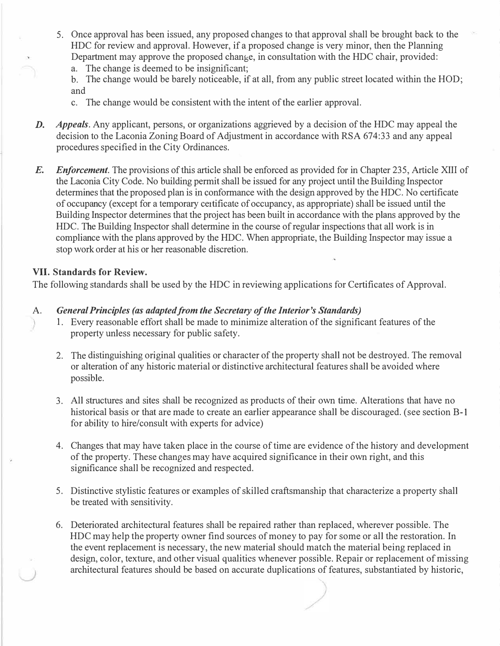- 5. Once approval has been issued, any proposed changes to that approval shall be brought back to the HDC for review and approval. However, if a proposed change is very minor, then the Planning Department may approve the proposed change, in consultation with the HDC chair, provided:
	- a. The change is deemed to be insignificant;
	- b. The change would be barely noticeable, if at all, from any public street located within the HOD; and
	- c. The change would be consistent with the intent of the earlier approval.
- D. Appeals. Any applicant, persons, or organizations aggrieved by a decision of the HDC may appeal the decision to the Laconia Zoning Board of Adjustment in accordance with RSA 674:33 and any appeal procedures specified in the City Ordinances.
- E. Enforcement. The provisions of this article shall be enforced as provided for in Chapter 235, Article XIII of the Laconia City Code. No building permit shall be issued for any project until the Building Inspector determines that the proposed plan is in conformance with the design approved by the HDC. No certificate of occupancy (except for a temporary ce1tificatc of occupancy, as appropriate) shall be issued until the Building Inspector determines that the project has been built in accordance with the plans approved by the HDC. The Building Inspector shall determine in the course of regular inspections that all work is in compliance with the plans approved by the HDC. When appropriate, the Building Inspector may issue a stop work order at his or her reasonable discretion.

#### VII. Standards for Review.

The following standards shall be used by the HDC in reviewing applications for Certificates of Approval.

#### A. General Principles (as adapted from the Secretary of the Interior's Standards)

- 1. Every reasonable effort shall be made to minimize alteration of the significant features of the property unless necessary for public safety.
- 2. The distinguishing original qualities or character of the property shall not be destroyed. The removal or alteration of any historic material or distinctive architectural features shall be avoided where possible.
- 3. All structures and sites shall be recognized as products of their own time. Alterations that have no historical basis or that are made to create an earlier appearance shall be discouraged. (see section B-1 for ability to hire/consult with experts for advice)
- 4. Changes that may have taken place in the course of time are evidence of the history and development of the property. These changes may have acquired significance in their own right, and this significance shall be recognized and respected.
- 5. Distinctive stylistic features or examples of skilled craftsmanship that characterize a property shall be treated with sensitivity.
- 6. Deteriorated architectural features shall be repaired rather than replaced, wherever possible. The HDC may help the property owner find sources of money to pay for some or all the restoration. In the event replacement is necessary, the new material should match the material being replaced in design, color, texture, and other visual qualities whenever possible. Repair or replacement of missing architectural features should be based on accurate duplications of features, substantiated by historic,

/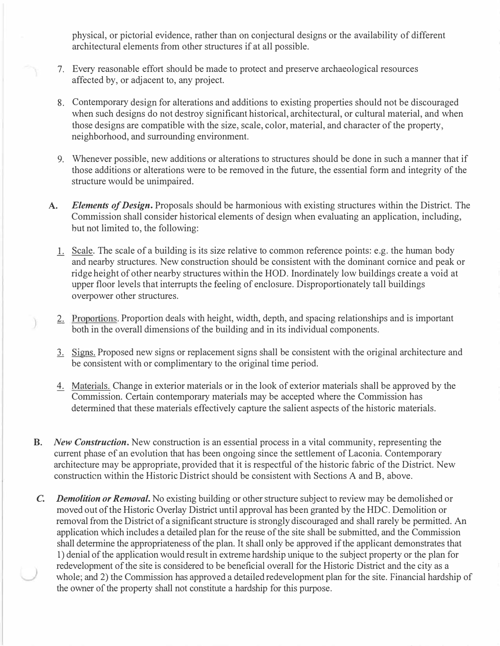physical, or pictorial evidence, rather than on conjectural designs or the availability of different architectural elements from other structures if at all possible.

- 7. Every reasonable effort should be made to protect and preserve archaeological resources affected by, or adjacent to, any project.
- 8. Contemporary design for alterations and additions to existing properties should not be discouraged when such designs do not destroy significant historical, architectural, or cultural material, and when those designs are compatible with the size, scale, color, material, and character of the property, neighborhood, and surrounding environment.
- 9. Whenever possible, new additions or alterations to structures should be done in such a manner that if those additions or alterations were to be removed in the future, the essential form and integrity of the structure would be unimpaired.
- A. Elements of Design. Proposals should be harmonious with existing structures within the District. The Commission shall consider historical elements of design when evaluating an application, including, hut not limited to, the following:
	- 1. Scale. The scale of a building is its size relative to common reference points: e.g. the human body and nearby structures. New construction should be consistent with the dominant cornice and peak or ridge height of other nearby structures within the HOD. Inordinately low buildings create a void at upper floor levels that interrupts the feeling of enclosure. Disproportionately tall buildings overpower other structures.
- 2. Proportions. Proportion deals with height, width, depth, and spacing relationships and is important both in the overall dimensions of the building and in its individual components.
- 1. Signs. Proposed new signs or replacement signs shall be consistent with the original architecture and be consistent with or complimentary to the original time period.
- 4. Materials. Change in exterior materials or in the look of exterior materials shall be approved by the Commission. Certain contemporary materials may be accepted where the Commission has determined that these materials effectively capture the salient aspects of the historic materials.
- B. New Construction. New construction is an essential process in a vital community, representing the current phase of an evolution that has been ongoing since the settlement of Laconia. Contemporary architecture may be appropriate, provided that it is respectful of the historic fabric of the District. New constructicn within the Historic District should be consistent with Sections A and B, above.
- C. Demolition or Removal. No existing building or other structure subject to review may be demolished or moved out of the Historic Overlay District until approval has been granted by the HDC. Demolition or removal from the District of a significant structure is strongly discouraged and shall rarely be permitted. An application which includes a detailed plan for the reuse of the site shall be submitted, and the Commission shall determine the appropriateness of the plan. It shall only be approved if the applicant demonstrates that 1) denial of the application would result in extreme hardship unique to the subject property or the plan for redevelopment of the site is considered to be beneficial overall for the Historic District and the city as a whole; and 2) the Commission has approved a detailed redevelopment plan for the site. Financial hardship of the owner of the property shall not constitute a hardship for this purpose.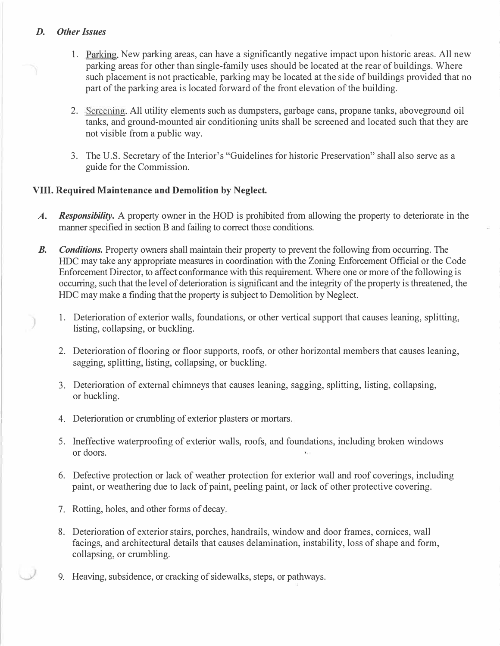#### D. Other Issues

- 1. Parking. New parking areas, can have a significantly negative impact upon historic areas. All new parking areas for other than single-family uses should be located at the rear of buildings. Where such placement is not practicable, parking may be located at the side of buildings provided that no part of the parking area is located forward of the front elevation of the building.
- 2. Screening. All utility elements such as dumpsters, garbage cans, propane tanks, aboveground oil tanks, and ground-mounted air conditioning units shall be screened and located such that they are not visible from a public way.
- 3. The U.S. Secretary of the Interior's "Guidelines for historic Preservation" shall also serve as a guide for the Commission.

### VIII. Required Maintenance and Demolition by Neglect.

- A. Responsibility. A property owner in the HOD is prohibited from allowing the property to deteriorate in the manner specified in section B and failing to correct those conditions.
- B. Conditions. Property owners shall maintain their property to prevent the following from occurring. The HDC may take any appropriate measures in coordination with the Zoning Enforcement Official or the Code Enforcement Director, to affect conformance with this requirement. Where one or more of the following is occurring, such that the level of deterioration is significant and the integrity of the property is threatened, the HDC may make a finding that the property is subject to Demolition by Neglect.
	- 1. Deterioration of exterior walls, foundations, or other vertical support that causes leaning, splitting, listing, collapsing, or buckling.
	- 2. Deterioration of flooring or floor supports, roofs, or other horizontal members that causes leaning, sagging, splitting, listing, collapsing, or buckling.
	- 3. Deterioration of external chimneys that causes leaning, sagging, splitting, listing, collapsing, or buckling.
	- 4. Deterioration or crumbling of exterior plasters or mortars.
	- 5. Ineffective waterproofing of exterior walls, roofs, and foundations, including broken windows or doors.
	- 6. Defective protection or lack of weather protection for exterior wall and roof coverings, including paint, or weathering due to lack of paint, peeling paint, or lack of other protective covering.
	- 7. Rotting, holes, and other forms of decay.
	- 8. Deterioration of exterior stairs, porches, handrails, window and door frames, cornices, wall facings, and architectural details that causes delamination, instability, loss of shape and form, collapsing, or crumbling.
	- 9. Heaving, subsidence, or cracking of sidewalks, steps, or pathways.